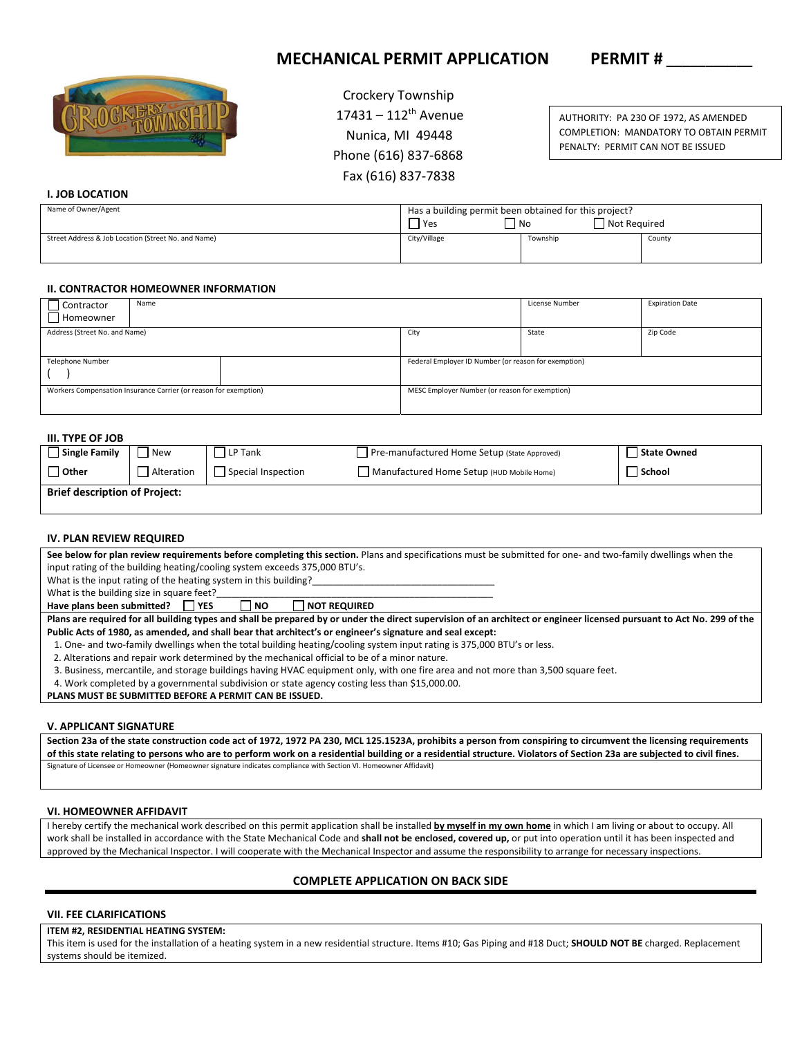# **MECHANICAL PERMIT APPLICATION PERMIT #**



 Crockery Township  $17431 - 112$ <sup>th</sup> Avenue Nunica, MI 49448 Phone (616) 837‐6868 Fax (616) 837‐7838

AUTHORITY: PA 230 OF 1972, AS AMENDED COMPLETION: MANDATORY TO OBTAIN PERMIT PENALTY: PERMIT CAN NOT BE ISSUED

# **I. JOB LOCATION**

| Name of Owner/Agent                                 | Has a building permit been obtained for this project?<br>Not Required<br>  No<br>'Yes |          |        |
|-----------------------------------------------------|---------------------------------------------------------------------------------------|----------|--------|
| Street Address & Job Location (Street No. and Name) | City/Village                                                                          | Township | County |

# **II. CONTRACTOR HOMEOWNER INFORMATION**

| Name<br>$\Box$ Contractor                                        |  | License Number                                       | <b>Expiration Date</b> |          |  |
|------------------------------------------------------------------|--|------------------------------------------------------|------------------------|----------|--|
| Homeowner                                                        |  |                                                      |                        |          |  |
| Address (Street No. and Name)                                    |  | City                                                 | State                  | Zip Code |  |
|                                                                  |  |                                                      |                        |          |  |
| Telephone Number                                                 |  | Federal Employer ID Number (or reason for exemption) |                        |          |  |
|                                                                  |  |                                                      |                        |          |  |
| Workers Compensation Insurance Carrier (or reason for exemption) |  | MESC Employer Number (or reason for exemption)       |                        |          |  |
|                                                                  |  |                                                      |                        |          |  |

## **III. TYPE OF JOB**

| Single Family                        | l New      | l LP Tank          | Pre-manufactured Home Setup (State Approved) | State Owned |  |
|--------------------------------------|------------|--------------------|----------------------------------------------|-------------|--|
| <b>Other</b>                         | Alteration | Special Inspection | Manufactured Home Setup (HUD Mobile Home)    | School      |  |
| <b>Brief description of Project:</b> |            |                    |                                              |             |  |

### **IV. PLAN REVIEW REQUIRED**

| See below for plan review requirements before completing this section. Plans and specifications must be submitted for one- and two-family dwellings when the           |  |  |  |  |
|------------------------------------------------------------------------------------------------------------------------------------------------------------------------|--|--|--|--|
| input rating of the building heating/cooling system exceeds 375,000 BTU's.                                                                                             |  |  |  |  |
| What is the input rating of the heating system in this building?                                                                                                       |  |  |  |  |
| What is the building size in square feet?                                                                                                                              |  |  |  |  |
| Have plans been submitted?   YES<br><b>NOT REQUIRED</b><br>∣ INO                                                                                                       |  |  |  |  |
| Plans are required for all building types and shall be prepared by or under the direct supervision of an architect or engineer licensed pursuant to Act No. 299 of the |  |  |  |  |
| Public Acts of 1980, as amended, and shall bear that architect's or engineer's signature and seal except:                                                              |  |  |  |  |
| 1. One- and two-family dwellings when the total building heating/cooling system input rating is 375,000 BTU's or less.                                                 |  |  |  |  |
| 2. Alterations and repair work determined by the mechanical official to be of a minor nature.                                                                          |  |  |  |  |
| 3. Business, mercantile, and storage buildings having HVAC equipment only, with one fire area and not more than 3,500 square feet.                                     |  |  |  |  |
| 4. Work completed by a governmental subdivision or state agency costing less than \$15,000.00.                                                                         |  |  |  |  |

**PLANS MUST BE SUBMITTED BEFORE A PERMIT CAN BE ISSUED.** 

#### **V. APPLICANT SIGNATURE**

**Section 23a of the state construction code act of 1972, 1972 PA 230, MCL 125.1523A, prohibits a person from conspiring to circumvent the licensing requirements of this state relating to persons who are to perform work on a residential building or a residential structure. Violators of Section 23a are subjected to civil fines.**  Signature of Licensee or Homeowner (Homeowner signature indicates compliance with Section VI. Homeowner Affidavit)

#### **VI. HOMEOWNER AFFIDAVIT**

I hereby certify the mechanical work described on this permit application shall be installed **by myself in my own home** in which I am living or about to occupy. All work shall be installed in accordance with the State Mechanical Code and **shall not be enclosed, covered up,** or put into operation until it has been inspected and approved by the Mechanical Inspector. I will cooperate with the Mechanical Inspector and assume the responsibility to arrange for necessary inspections.

# **COMPLETE APPLICATION ON BACK SIDE**

# **VII. FEE CLARIFICATIONS**

## **ITEM #2, RESIDENTIAL HEATING SYSTEM:**

This item is used for the installation of a heating system in a new residential structure. Items #10; Gas Piping and #18 Duct; **SHOULD NOT BE** charged. Replacement systems should be itemized.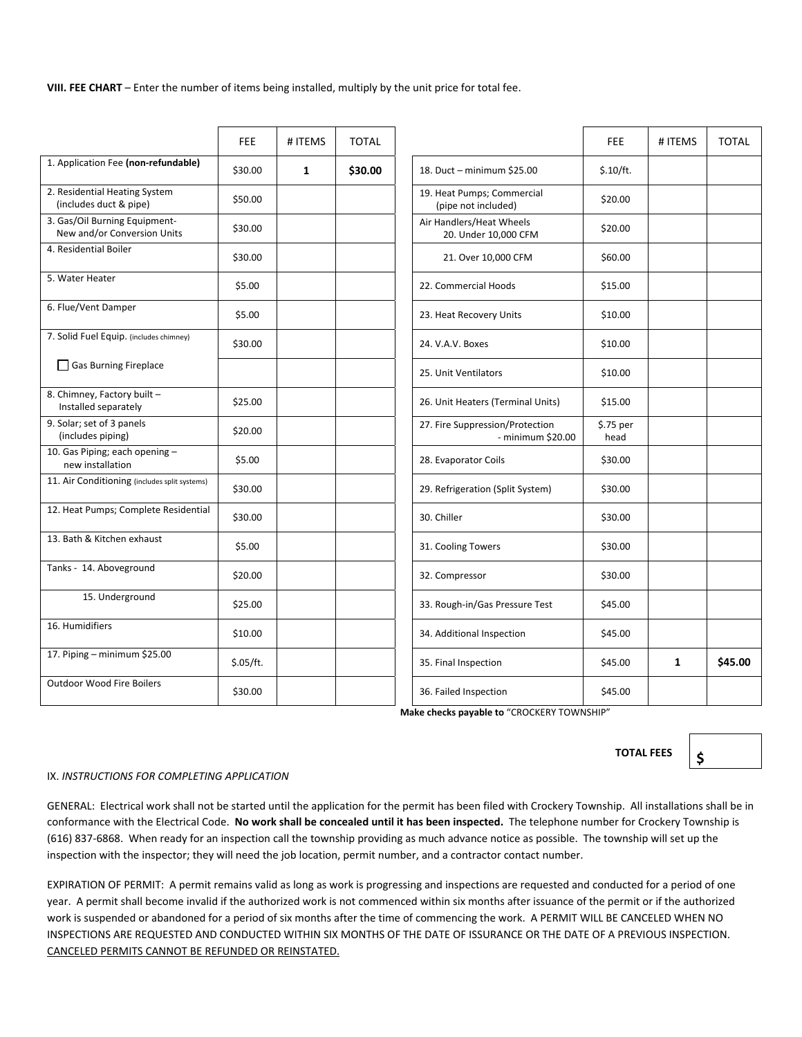**VIII. FEE CHART** – Enter the number of items being installed, multiply by the unit price for total fee.

|                                                              | FEE.      | # ITEMS      | <b>TOTAL</b> |                                                      | <b>FEE</b>        | # ITEMS | <b>TOTAL</b> |
|--------------------------------------------------------------|-----------|--------------|--------------|------------------------------------------------------|-------------------|---------|--------------|
| 1. Application Fee (non-refundable)                          | \$30.00   | $\mathbf{1}$ | \$30.00      | 18. Duct - minimum \$25.00                           | \$.10/ft.         |         |              |
| 2. Residential Heating System<br>(includes duct & pipe)      | \$50.00   |              |              | 19. Heat Pumps; Commercial<br>(pipe not included)    | \$20.00           |         |              |
| 3. Gas/Oil Burning Equipment-<br>New and/or Conversion Units | \$30.00   |              |              | Air Handlers/Heat Wheels<br>20. Under 10,000 CFM     | \$20.00           |         |              |
| 4. Residential Boiler                                        | \$30.00   |              |              | 21. Over 10,000 CFM                                  | \$60.00           |         |              |
| 5. Water Heater                                              | \$5.00    |              |              | 22. Commercial Hoods                                 | \$15.00           |         |              |
| 6. Flue/Vent Damper                                          | \$5.00    |              |              | 23. Heat Recovery Units                              | \$10.00           |         |              |
| 7. Solid Fuel Equip. (includes chimney)                      | \$30.00   |              |              | 24. V.A.V. Boxes                                     | \$10.00           |         |              |
| Gas Burning Fireplace                                        |           |              |              | 25. Unit Ventilators                                 | \$10.00           |         |              |
| 8. Chimney, Factory built -<br>Installed separately          | \$25.00   |              |              | 26. Unit Heaters (Terminal Units)                    | \$15.00           |         |              |
| 9. Solar; set of 3 panels<br>(includes piping)               | \$20.00   |              |              | 27. Fire Suppression/Protection<br>- minimum \$20.00 | \$.75 per<br>head |         |              |
| 10. Gas Piping; each opening -<br>new installation           | \$5.00    |              |              | 28. Evaporator Coils                                 | \$30.00           |         |              |
| 11. Air Conditioning (includes split systems)                | \$30.00   |              |              | 29. Refrigeration (Split System)                     | \$30.00           |         |              |
| 12. Heat Pumps; Complete Residential                         | \$30.00   |              |              | 30. Chiller                                          | \$30.00           |         |              |
| 13. Bath & Kitchen exhaust                                   | \$5.00    |              |              | 31. Cooling Towers                                   | \$30.00           |         |              |
| Tanks - 14. Aboveground                                      | \$20.00   |              |              | 32. Compressor                                       | \$30.00           |         |              |
| 15. Underground                                              | \$25.00   |              |              | 33. Rough-in/Gas Pressure Test                       | \$45.00           |         |              |
| 16. Humidifiers                                              | \$10.00   |              |              | 34. Additional Inspection                            | \$45.00           |         |              |
| 17. Piping - minimum \$25.00                                 | \$.05/ft. |              |              | 35. Final Inspection                                 | \$45.00           | 1       | \$45.00      |
| <b>Outdoor Wood Fire Boilers</b>                             | \$30.00   |              |              | 36. Failed Inspection                                | \$45.00           |         |              |

Make checks payable to "CROCKERY TOWNSHIP"

**\$** 

## IX. *INSTRUCTIONS FOR COMPLETING APPLICATION*

GENERAL: Electrical work shall not be started until the application for the permit has been filed with Crockery Township. All installations shall be in conformance with the Electrical Code. **No work shall be concealed until it has been inspected.** The telephone number for Crockery Township is (616) 837‐6868. When ready for an inspection call the township providing as much advance notice as possible. The township will set up the inspection with the inspector; they will need the job location, permit number, and a contractor contact number.

EXPIRATION OF PERMIT: A permit remains valid as long as work is progressing and inspections are requested and conducted for a period of one year. A permit shall become invalid if the authorized work is not commenced within six months after issuance of the permit or if the authorized work is suspended or abandoned for a period of six months after the time of commencing the work. A PERMIT WILL BE CANCELED WHEN NO INSPECTIONS ARE REQUESTED AND CONDUCTED WITHIN SIX MONTHS OF THE DATE OF ISSURANCE OR THE DATE OF A PREVIOUS INSPECTION. CANCELED PERMITS CANNOT BE REFUNDED OR REINSTATED.

**TOTAL FEES**